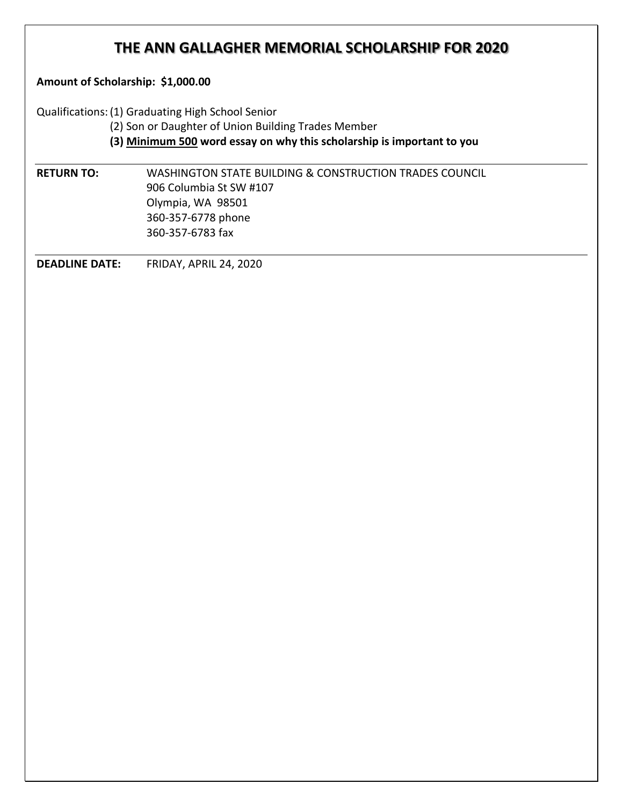## **THE ANN GALLAGHER MEMORIAL SCHOLARSHIP FOR 2020**

**Amount of Scholarship: \$1,000.00**

Qualifications:(1) Graduating High School Senior

(2) Son or Daughter of Union Building Trades Member

**(3) Minimum 500 word essay on why this scholarship is important to you**

**RETURN TO:** WASHINGTON STATE BUILDING & CONSTRUCTION TRADES COUNCIL 906 Columbia St SW #107 Olympia, WA 98501 360-357-6778 phone 360-357-6783 fax

**DEADLINE DATE:** FRIDAY, APRIL 24, 2020